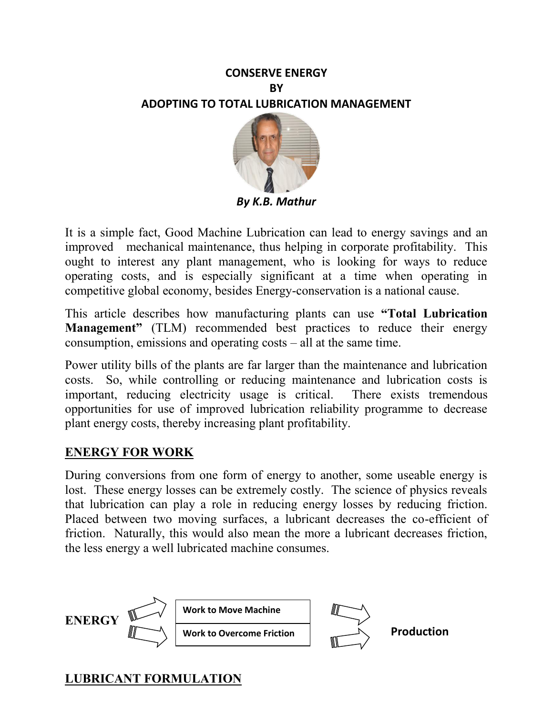## **CONSERVE ENERGY BY ADOPTING TO TOTAL LUBRICATION MANAGEMENT**



*By K.B. Mathur* 

It is a simple fact, Good Machine Lubrication can lead to energy savings and an improved mechanical maintenance, thus helping in corporate profitability. This ought to interest any plant management, who is looking for ways to reduce operating costs, and is especially significant at a time when operating in competitive global economy, besides Energy-conservation is a national cause.

This article describes how manufacturing plants can use **"Total Lubrication Management**" (TLM) recommended best practices to reduce their energy consumption, emissions and operating costs – all at the same time.

Power utility bills of the plants are far larger than the maintenance and lubrication costs. So, while controlling or reducing maintenance and lubrication costs is important, reducing electricity usage is critical. There exists tremendous opportunities for use of improved lubrication reliability programme to decrease plant energy costs, thereby increasing plant profitability.

## **ENERGY FOR WORK**

During conversions from one form of energy to another, some useable energy is lost. These energy losses can be extremely costly. The science of physics reveals that lubrication can play a role in reducing energy losses by reducing friction. Placed between two moving surfaces, a lubricant decreases the co-efficient of friction. Naturally, this would also mean the more a lubricant decreases friction, the less energy a well lubricated machine consumes.



# **LUBRICANT FORMULATION**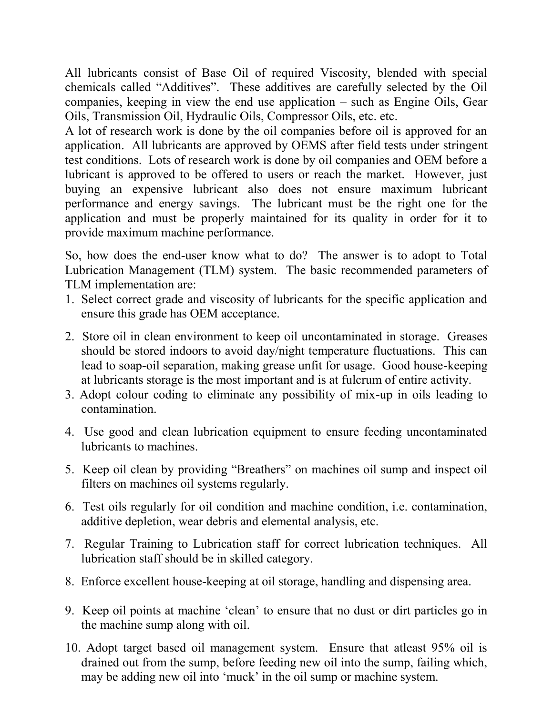All lubricants consist of Base Oil of required Viscosity, blended with special chemicals called "Additives". These additives are carefully selected by the Oil companies, keeping in view the end use application – such as Engine Oils, Gear Oils, Transmission Oil, Hydraulic Oils, Compressor Oils, etc. etc.

A lot of research work is done by the oil companies before oil is approved for an application. All lubricants are approved by OEMS after field tests under stringent test conditions. Lots of research work is done by oil companies and OEM before a lubricant is approved to be offered to users or reach the market. However, just buying an expensive lubricant also does not ensure maximum lubricant performance and energy savings. The lubricant must be the right one for the application and must be properly maintained for its quality in order for it to provide maximum machine performance.

So, how does the end-user know what to do? The answer is to adopt to Total Lubrication Management (TLM) system. The basic recommended parameters of TLM implementation are:

- 1. Select correct grade and viscosity of lubricants for the specific application and ensure this grade has OEM acceptance.
- 2. Store oil in clean environment to keep oil uncontaminated in storage. Greases should be stored indoors to avoid day/night temperature fluctuations. This can lead to soap-oil separation, making grease unfit for usage. Good house-keeping at lubricants storage is the most important and is at fulcrum of entire activity.
- 3. Adopt colour coding to eliminate any possibility of mix-up in oils leading to contamination.
- 4. Use good and clean lubrication equipment to ensure feeding uncontaminated lubricants to machines.
- 5. Keep oil clean by providing "Breathers" on machines oil sump and inspect oil filters on machines oil systems regularly.
- 6. Test oils regularly for oil condition and machine condition, i.e. contamination, additive depletion, wear debris and elemental analysis, etc.
- 7. Regular Training to Lubrication staff for correct lubrication techniques. All lubrication staff should be in skilled category.
- 8. Enforce excellent house-keeping at oil storage, handling and dispensing area.
- 9. Keep oil points at machine 'clean' to ensure that no dust or dirt particles go in the machine sump along with oil.
- 10. Adopt target based oil management system. Ensure that atleast 95% oil is drained out from the sump, before feeding new oil into the sump, failing which, may be adding new oil into 'muck' in the oil sump or machine system.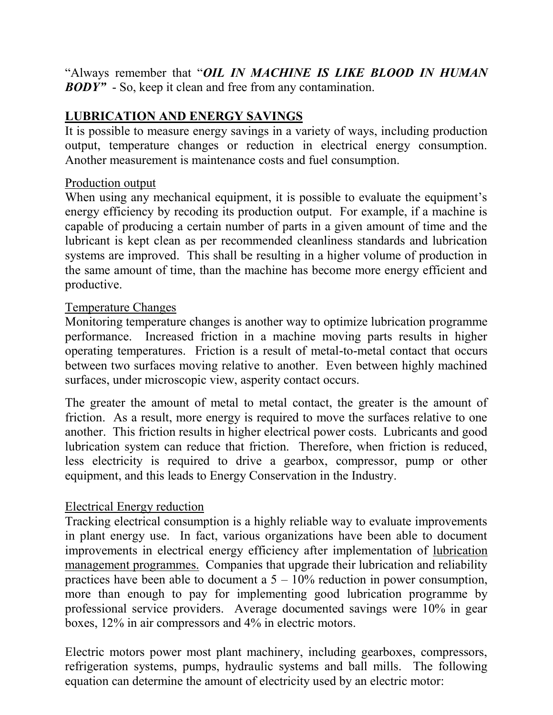"Always remember that "*OIL IN MACHINE IS LIKE BLOOD IN HUMAN BODY"* - So, keep it clean and free from any contamination.

## **LUBRICATION AND ENERGY SAVINGS**

It is possible to measure energy savings in a variety of ways, including production output, temperature changes or reduction in electrical energy consumption. Another measurement is maintenance costs and fuel consumption.

#### Production output

When using any mechanical equipment, it is possible to evaluate the equipment's energy efficiency by recoding its production output. For example, if a machine is capable of producing a certain number of parts in a given amount of time and the lubricant is kept clean as per recommended cleanliness standards and lubrication systems are improved. This shall be resulting in a higher volume of production in the same amount of time, than the machine has become more energy efficient and productive.

#### Temperature Changes

Monitoring temperature changes is another way to optimize lubrication programme performance. Increased friction in a machine moving parts results in higher operating temperatures. Friction is a result of metal-to-metal contact that occurs between two surfaces moving relative to another. Even between highly machined surfaces, under microscopic view, asperity contact occurs.

The greater the amount of metal to metal contact, the greater is the amount of friction. As a result, more energy is required to move the surfaces relative to one another. This friction results in higher electrical power costs. Lubricants and good lubrication system can reduce that friction. Therefore, when friction is reduced, less electricity is required to drive a gearbox, compressor, pump or other equipment, and this leads to Energy Conservation in the Industry.

#### Electrical Energy reduction

Tracking electrical consumption is a highly reliable way to evaluate improvements in plant energy use. In fact, various organizations have been able to document improvements in electrical energy efficiency after implementation of lubrication management programmes. Companies that upgrade their lubrication and reliability practices have been able to document a  $5 - 10\%$  reduction in power consumption, more than enough to pay for implementing good lubrication programme by professional service providers. Average documented savings were 10% in gear boxes, 12% in air compressors and 4% in electric motors.

Electric motors power most plant machinery, including gearboxes, compressors, refrigeration systems, pumps, hydraulic systems and ball mills. The following equation can determine the amount of electricity used by an electric motor: